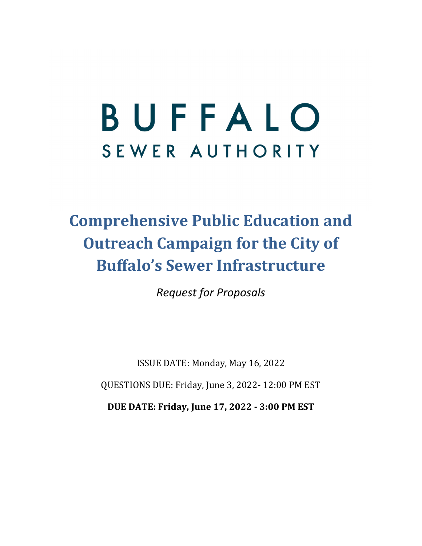# BUFFALO SEWER AUTHORITY

# **Comprehensive Public Education and Outreach Campaign for the City of Buffalo's Sewer Infrastructure**

*Request for Proposals*

ISSUE DATE: Monday, May 16, 2022 QUESTIONS DUE: Friday, June 3, 2022- 12:00 PM EST

**DUE DATE: Friday, June 17, 2022 ‐ 3:00 PM EST**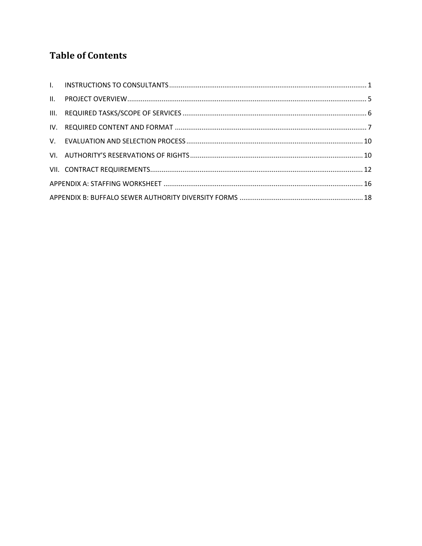# **Table of Contents**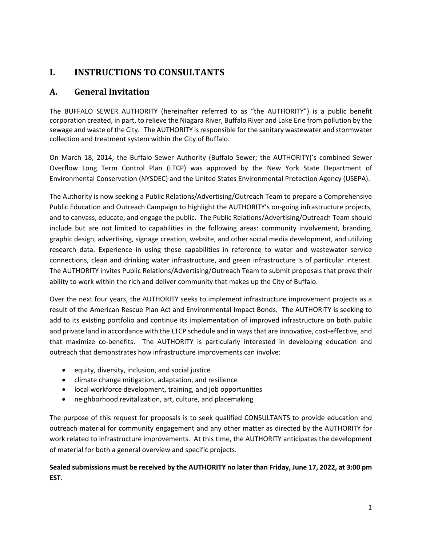# **I. INSTRUCTIONS TO CONSULTANTS**

#### **A. General Invitation**

The BUFFALO SEWER AUTHORITY (hereinafter referred to as "the AUTHORITY") is a public benefit corporation created, in part, to relieve the Niagara River, Buffalo River and Lake Erie from pollution by the sewage and waste of the City. The AUTHORITY is responsible for the sanitary wastewater and stormwater collection and treatment system within the City of Buffalo.

On March 18, 2014, the Buffalo Sewer Authority (Buffalo Sewer; the AUTHORITY)'s combined Sewer Overflow Long Term Control Plan (LTCP) was approved by the New York State Department of Environmental Conservation (NYSDEC) and the United States Environmental Protection Agency (USEPA).

The Authority is now seeking a Public Relations/Advertising/Outreach Team to prepare a Comprehensive Public Education and Outreach Campaign to highlight the AUTHORITY's on‐going infrastructure projects, and to canvass, educate, and engage the public. The Public Relations/Advertising/Outreach Team should include but are not limited to capabilities in the following areas: community involvement, branding, graphic design, advertising, signage creation, website, and other social media development, and utilizing research data. Experience in using these capabilities in reference to water and wastewater service connections, clean and drinking water infrastructure, and green infrastructure is of particular interest. The AUTHORITY invites Public Relations/Advertising/Outreach Team to submit proposals that prove their ability to work within the rich and deliver community that makes up the City of Buffalo.

Over the next four years, the AUTHORITY seeks to implement infrastructure improvement projects as a result of the American Rescue Plan Act and Environmental Impact Bonds. The AUTHORITY is seeking to add to its existing portfolio and continue its implementation of improved infrastructure on both public and private land in accordance with the LTCP schedule and in ways that are innovative, cost-effective, and that maximize co-benefits. The AUTHORITY is particularly interested in developing education and outreach that demonstrates how infrastructure improvements can involve:

- $\bullet$  equity, diversity, inclusion, and social justice
- climate change mitigation, adaptation, and resilience
- local workforce development, training, and job opportunities
- neighborhood revitalization, art, culture, and placemaking

The purpose of this request for proposals is to seek qualified CONSULTANTS to provide education and outreach material for community engagement and any other matter as directed by the AUTHORITY for work related to infrastructure improvements. At this time, the AUTHORITY anticipates the development of material for both a general overview and specific projects.

#### Sealed submissions must be received by the AUTHORITY no later than Friday, June 17, 2022, at 3:00 pm **EST**.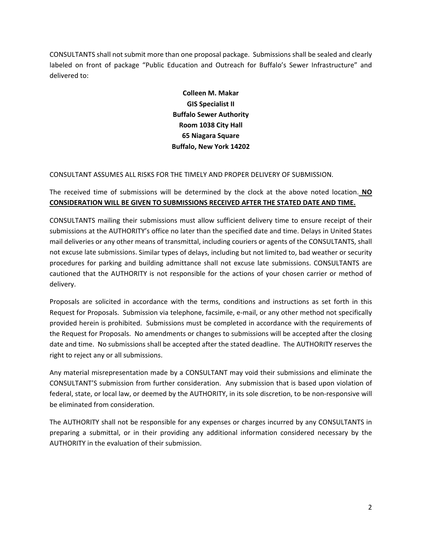CONSULTANTS shall not submit more than one proposal package. Submissions shall be sealed and clearly labeled on front of package "Public Education and Outreach for Buffalo's Sewer Infrastructure" and delivered to:

> **Colleen M. Makar GIS Specialist II Buffalo Sewer Authority Room 1038 City Hall 65 Niagara Square Buffalo, New York 14202**

#### CONSULTANT ASSUMES ALL RISKS FOR THE TIMELY AND PROPER DELIVERY OF SUBMISSION.

The received time of submissions will be determined by the clock at the above noted location. **NO CONSIDERATION WILL BE GIVEN TO SUBMISSIONS RECEIVED AFTER THE STATED DATE AND TIME.**

CONSULTANTS mailing their submissions must allow sufficient delivery time to ensure receipt of their submissions at the AUTHORITY's office no later than the specified date and time. Delays in United States mail deliveries or any other means of transmittal, including couriers or agents of the CONSULTANTS, shall not excuse late submissions. Similar types of delays, including but not limited to, bad weather or security procedures for parking and building admittance shall not excuse late submissions. CONSULTANTS are cautioned that the AUTHORITY is not responsible for the actions of your chosen carrier or method of delivery.

Proposals are solicited in accordance with the terms, conditions and instructions as set forth in this Request for Proposals. Submission via telephone, facsimile, e-mail, or any other method not specifically provided herein is prohibited. Submissions must be completed in accordance with the requirements of the Request for Proposals. No amendments or changes to submissions will be accepted after the closing date and time. No submissions shall be accepted after the stated deadline. The AUTHORITY reserves the right to reject any or all submissions.

Any material misrepresentation made by a CONSULTANT may void their submissions and eliminate the CONSULTANT'S submission from further consideration. Any submission that is based upon violation of federal, state, or local law, or deemed by the AUTHORITY, in its sole discretion, to be non-responsive will be eliminated from consideration.

The AUTHORITY shall not be responsible for any expenses or charges incurred by any CONSULTANTS in preparing a submittal, or in their providing any additional information considered necessary by the AUTHORITY in the evaluation of their submission.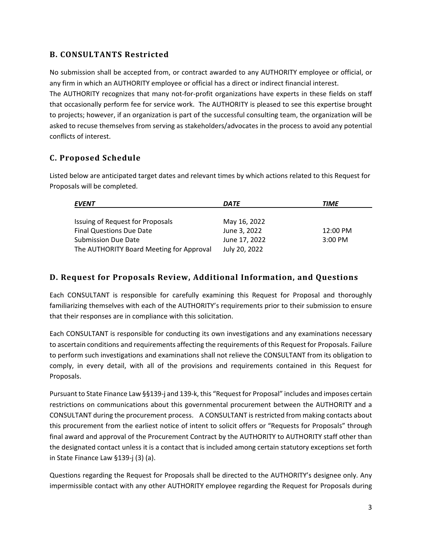#### **B. CONSULTANTS Restricted**

No submission shall be accepted from, or contract awarded to any AUTHORITY employee or official, or any firm in which an AUTHORITY employee or official has a direct or indirect financial interest.

The AUTHORITY recognizes that many not-for-profit organizations have experts in these fields on staff that occasionally perform fee for service work. The AUTHORITY is pleased to see this expertise brought to projects; however, if an organization is part of the successful consulting team, the organization will be asked to recuse themselves from serving as stakeholders/advocates in the process to avoid any potential conflicts of interest.

#### **C. Proposed Schedule**

Listed below are anticipated target dates and relevant times by which actions related to this Request for Proposals will be completed.

| <b>EVENT</b>                             | <b>DATE</b>   | TIME      |
|------------------------------------------|---------------|-----------|
|                                          |               |           |
| Issuing of Request for Proposals         | May 16, 2022  |           |
| Final Questions Due Date                 | June 3, 2022  | 12:00 PM  |
| <b>Submission Due Date</b>               | June 17, 2022 | $3:00$ PM |
| The AUTHORITY Board Meeting for Approval | July 20, 2022 |           |

#### **D. Request for Proposals Review, Additional Information, and Questions**

Each CONSULTANT is responsible for carefully examining this Request for Proposal and thoroughly familiarizing themselves with each of the AUTHORITY's requirements prior to their submission to ensure that their responses are in compliance with this solicitation.

Each CONSULTANT is responsible for conducting its own investigations and any examinations necessary to ascertain conditions and requirements affecting the requirements of this Request for Proposals. Failure to perform such investigations and examinations shall not relieve the CONSULTANT from its obligation to comply, in every detail, with all of the provisions and requirements contained in this Request for Proposals.

Pursuant to State Finance Law §§139‐j and 139‐k, this "Request for Proposal" includes and imposes certain restrictions on communications about this governmental procurement between the AUTHORITY and a CONSULTANT during the procurement process. A CONSULTANT isrestricted from making contacts about this procurement from the earliest notice of intent to solicit offers or "Requests for Proposals" through final award and approval of the Procurement Contract by the AUTHORITY to AUTHORITY staff other than the designated contact unless it is a contact that is included among certain statutory exceptions set forth in State Finance Law §139‐j (3) (a).

Questions regarding the Request for Proposals shall be directed to the AUTHORITY's designee only. Any impermissible contact with any other AUTHORITY employee regarding the Request for Proposals during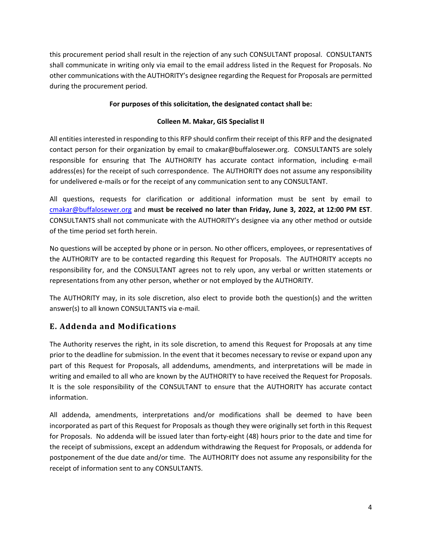this procurement period shall result in the rejection of any such CONSULTANT proposal. CONSULTANTS shall communicate in writing only via email to the email address listed in the Request for Proposals. No other communications with the AUTHORITY's designee regarding the Request for Proposals are permitted during the procurement period.

#### **For purposes of this solicitation, the designated contact shall be:**

#### **Colleen M. Makar, GIS Specialist II**

All entitiesinterested in responding to this RFP should confirm their receipt of this RFP and the designated contact person for their organization by email to cmakar@buffalosewer.org. CONSULTANTS are solely responsible for ensuring that The AUTHORITY has accurate contact information, including e‐mail address(es) for the receipt of such correspondence. The AUTHORITY does not assume any responsibility for undelivered e‐mails or for the receipt of any communication sent to any CONSULTANT.

All questions, requests for clarification or additional information must be sent by email to cmakar@buffalosewer.org and **must be received no later than Friday, June 3, 2022, at 12:00 PM EST**. CONSULTANTS shall not communicate with the AUTHORITY's designee via any other method or outside of the time period set forth herein.

No questions will be accepted by phone or in person. No other officers, employees, or representatives of the AUTHORITY are to be contacted regarding this Request for Proposals. The AUTHORITY accepts no responsibility for, and the CONSULTANT agrees not to rely upon, any verbal or written statements or representations from any other person, whether or not employed by the AUTHORITY.

The AUTHORITY may, in its sole discretion, also elect to provide both the question(s) and the written answer(s) to all known CONSULTANTS via e‐mail.

#### **E. Addenda and Modifications**

The Authority reserves the right, in its sole discretion, to amend this Request for Proposals at any time prior to the deadline for submission. In the event that it becomes necessary to revise or expand upon any part of this Request for Proposals, all addendums, amendments, and interpretations will be made in writing and emailed to all who are known by the AUTHORITY to have received the Request for Proposals. It is the sole responsibility of the CONSULTANT to ensure that the AUTHORITY has accurate contact information.

All addenda, amendments, interpretations and/or modifications shall be deemed to have been incorporated as part of this Request for Proposals as though they were originally set forth in this Request for Proposals. No addenda will be issued later than forty‐eight (48) hours prior to the date and time for the receipt of submissions, except an addendum withdrawing the Request for Proposals, or addenda for postponement of the due date and/or time. The AUTHORITY does not assume any responsibility for the receipt of information sent to any CONSULTANTS.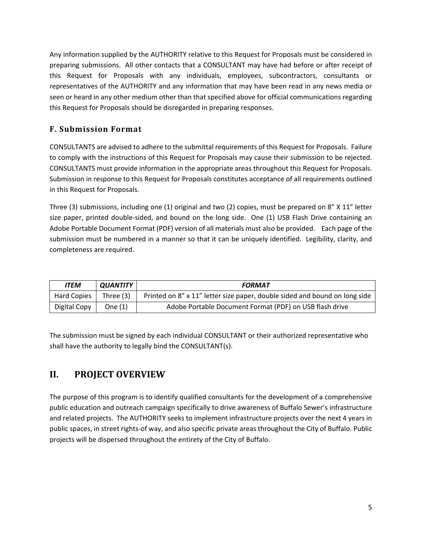Any information supplied by the AUTHORITY relative to this Request for Proposals must be considered in preparing submissions. All other contacts that a CONSULTANT may have had before or after receipt of this Request for Proposals with any individuals, employees, subcontractors, consultants or representatives of the AUTHORITY and any information that may have been read in any news media or seen or heard in any other medium other than that specified above for official communications regarding this Request for Proposals should be disregarded in preparing responses.

#### **F. Submission Format**

CONSULTANTS are advised to adhere to the submittal requirements of this Request for Proposals. Failure to comply with the instructions of this Request for Proposals may cause their submission to be rejected. CONSULTANTS must provide information in the appropriate areas throughout this Request for Proposals. Submission in response to this Request for Proposals constitutes acceptance of all requirements outlined in this Request for Proposals.

Three (3) submissions, including one (1) original and two (2) copies, must be prepared on 8" X 11" letter size paper, printed double-sided, and bound on the long side. One (1) USB Flash Drive containing an Adobe Portable Document Format (PDF) version of all materials must also be provided. Each page of the submission must be numbered in a manner so that it can be uniquely identified. Legibility, clarity, and completeness are required.

| <b>ITEM</b>  | <i><b>QUANTITY</b></i> | <b>FORMAT</b>                                                              |
|--------------|------------------------|----------------------------------------------------------------------------|
| Hard Copies  | Three (3)              | Printed on 8" x 11" letter size paper, double sided and bound on long side |
| Digital Copy | One (1)                | Adobe Portable Document Format (PDF) on USB flash drive                    |

The submission must be signed by each individual CONSULTANT or their authorized representative who shall have the authority to legally bind the CONSULTANT(s).

# **II. PROJECT OVERVIEW**

The purpose of this program is to identify qualified consultants for the development of a comprehensive public education and outreach campaign specifically to drive awareness of Buffalo Sewer's infrastructure and related projects. The AUTHORITY seeks to implement infrastructure projects over the next 4 years in public spaces, in street rights‐of way, and also specific private areas throughout the City of Buffalo. Public projects will be dispersed throughout the entirety of the City of Buffalo.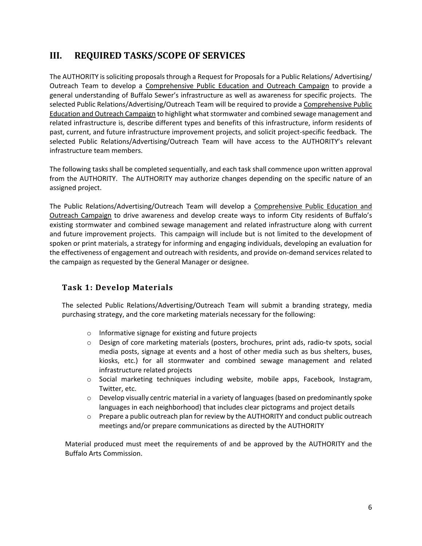# **III. REQUIRED TASKS/SCOPE OF SERVICES**

The AUTHORITY is soliciting proposals through a Request for Proposals for a Public Relations/ Advertising/ Outreach Team to develop a Comprehensive Public Education and Outreach Campaign to provide a general understanding of Buffalo Sewer's infrastructure as well as awareness for specific projects. The selected Public Relations/Advertising/Outreach Team will be required to provide a Comprehensive Public Education and Outreach Campaign to highlight what stormwater and combined sewage management and related infrastructure is, describe different types and benefits of this infrastructure, inform residents of past, current, and future infrastructure improvement projects, and solicit project‐specific feedback. The selected Public Relations/Advertising/Outreach Team will have access to the AUTHORITY's relevant infrastructure team members.

The following tasks shall be completed sequentially, and each task shall commence upon written approval from the AUTHORITY. The AUTHORITY may authorize changes depending on the specific nature of an assigned project.

The Public Relations/Advertising/Outreach Team will develop a Comprehensive Public Education and Outreach Campaign to drive awareness and develop create ways to inform City residents of Buffalo's existing stormwater and combined sewage management and related infrastructure along with current and future improvement projects. This campaign will include but is not limited to the development of spoken or print materials, a strategy for informing and engaging individuals, developing an evaluation for the effectiveness of engagement and outreach with residents, and provide on‐demand services related to the campaign as requested by the General Manager or designee.

#### **Task 1: Develop Materials**

The selected Public Relations/Advertising/Outreach Team will submit a branding strategy, media purchasing strategy, and the core marketing materials necessary for the following:

- o Informative signage for existing and future projects
- o Design of core marketing materials (posters, brochures, print ads, radio‐tv spots, social media posts, signage at events and a host of other media such as bus shelters, buses, kiosks, etc.) for all stormwater and combined sewage management and related infrastructure related projects
- o Social marketing techniques including website, mobile apps, Facebook, Instagram, Twitter, etc.
- o Develop visually centric material in a variety of languages (based on predominantly spoke languages in each neighborhood) that includes clear pictograms and project details
- $\circ$  Prepare a public outreach plan for review by the AUTHORITY and conduct public outreach meetings and/or prepare communications as directed by the AUTHORITY

Material produced must meet the requirements of and be approved by the AUTHORITY and the Buffalo Arts Commission.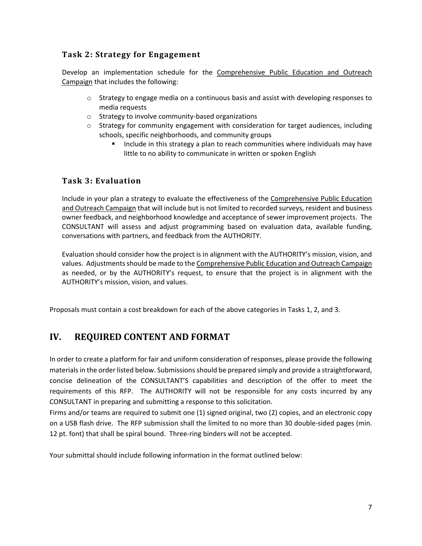#### **Task 2: Strategy for Engagement**

Develop an implementation schedule for the Comprehensive Public Education and Outreach Campaign that includes the following:

- $\circ$  Strategy to engage media on a continuous basis and assist with developing responses to media requests
- o Strategy to involve community‐based organizations
- $\circ$  Strategy for community engagement with consideration for target audiences, including schools, specific neighborhoods, and community groups
	- Include in this strategy a plan to reach communities where individuals may have little to no ability to communicate in written or spoken English

#### **Task 3: Evaluation**

Include in your plan a strategy to evaluate the effectiveness of the Comprehensive Public Education and Outreach Campaign that will include but is not limited to recorded surveys, resident and business owner feedback, and neighborhood knowledge and acceptance of sewer improvement projects. The CONSULTANT will assess and adjust programming based on evaluation data, available funding, conversations with partners, and feedback from the AUTHORITY.

Evaluation should consider how the project is in alignment with the AUTHORITY's mission, vision, and values. Adjustments should be made to the Comprehensive Public Education and Outreach Campaign as needed, or by the AUTHORITY's request, to ensure that the project is in alignment with the AUTHORITY's mission, vision, and values.

Proposals must contain a cost breakdown for each of the above categories in Tasks 1, 2, and 3.

# **IV. REQUIRED CONTENT AND FORMAT**

In order to create a platform for fair and uniform consideration of responses, please provide the following materials in the order listed below. Submissions should be prepared simply and provide a straightforward, concise delineation of the CONSULTANT'S capabilities and description of the offer to meet the requirements of this RFP. The AUTHORITY will not be responsible for any costs incurred by any CONSULTANT in preparing and submitting a response to this solicitation.

Firms and/or teams are required to submit one (1) signed original, two (2) copies, and an electronic copy on a USB flash drive. The RFP submission shall the limited to no more than 30 double‐sided pages (min. 12 pt. font) that shall be spiral bound. Three-ring binders will not be accepted.

Your submittal should include following information in the format outlined below: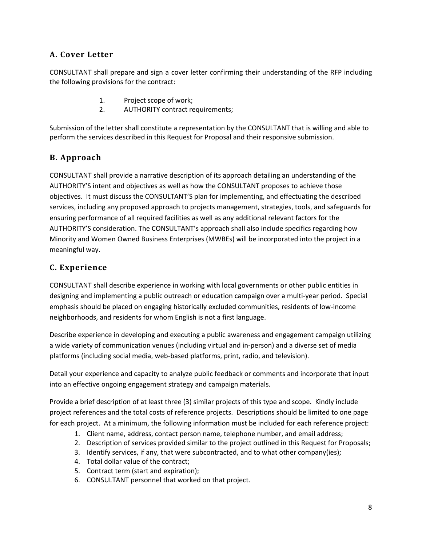#### **A. Cover Letter**

CONSULTANT shall prepare and sign a cover letter confirming their understanding of the RFP including the following provisions for the contract:

- 1. Project scope of work;
- 2. AUTHORITY contract requirements;

Submission of the letter shall constitute a representation by the CONSULTANT that is willing and able to perform the services described in this Request for Proposal and their responsive submission.

#### **B. Approach**

CONSULTANT shall provide a narrative description of its approach detailing an understanding of the AUTHORITY'S intent and objectives as well as how the CONSULTANT proposes to achieve those objectives. It must discuss the CONSULTANT'S plan for implementing, and effectuating the described services, including any proposed approach to projects management, strategies, tools, and safeguards for ensuring performance of all required facilities as well as any additional relevant factors for the AUTHORITY'S consideration. The CONSULTANT's approach shall also include specifics regarding how Minority and Women Owned Business Enterprises (MWBEs) will be incorporated into the project in a meaningful way.

#### **C. Experience**

CONSULTANT shall describe experience in working with local governments or other public entities in designing and implementing a public outreach or education campaign over a multi‐year period. Special emphasis should be placed on engaging historically excluded communities, residents of low‐income neighborhoods, and residents for whom English is not a first language.

Describe experience in developing and executing a public awareness and engagement campaign utilizing a wide variety of communication venues (including virtual and in‐person) and a diverse set of media platforms (including social media, web‐based platforms, print, radio, and television).

Detail your experience and capacity to analyze public feedback or comments and incorporate that input into an effective ongoing engagement strategy and campaign materials.

Provide a brief description of at least three (3) similar projects of this type and scope. Kindly include project references and the total costs of reference projects. Descriptions should be limited to one page for each project. At a minimum, the following information must be included for each reference project:

- 1. Client name, address, contact person name, telephone number, and email address;
- 2. Description of services provided similar to the project outlined in this Request for Proposals;
- 3. Identify services, if any, that were subcontracted, and to what other company(ies);
- 4. Total dollar value of the contract;
- 5. Contract term (start and expiration);
- 6. CONSULTANT personnel that worked on that project.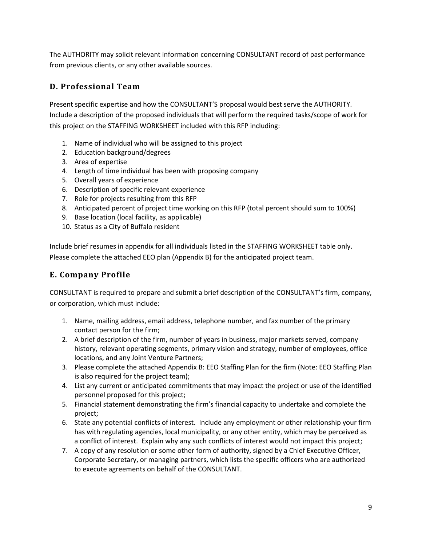The AUTHORITY may solicit relevant information concerning CONSULTANT record of past performance from previous clients, or any other available sources.

#### **D. Professional Team**

Present specific expertise and how the CONSULTANT'S proposal would best serve the AUTHORITY. Include a description of the proposed individuals that will perform the required tasks/scope of work for this project on the STAFFING WORKSHEET included with this RFP including:

- 1. Name of individual who will be assigned to this project
- 2. Education background/degrees
- 3. Area of expertise
- 4. Length of time individual has been with proposing company
- 5. Overall years of experience
- 6. Description of specific relevant experience
- 7. Role for projects resulting from this RFP
- 8. Anticipated percent of project time working on this RFP (total percent should sum to 100%)
- 9. Base location (local facility, as applicable)
- 10. Status as a City of Buffalo resident

Include brief resumes in appendix for all individuals listed in the STAFFING WORKSHEET table only. Please complete the attached EEO plan (Appendix B) for the anticipated project team.

#### **E. Company Profile**

CONSULTANT is required to prepare and submit a brief description of the CONSULTANT's firm, company, or corporation, which must include:

- 1. Name, mailing address, email address, telephone number, and fax number of the primary contact person for the firm;
- 2. A brief description of the firm, number of years in business, major markets served, company history, relevant operating segments, primary vision and strategy, number of employees, office locations, and any Joint Venture Partners;
- 3. Please complete the attached Appendix B: EEO Staffing Plan for the firm (Note: EEO Staffing Plan is also required for the project team);
- 4. List any current or anticipated commitments that may impact the project or use of the identified personnel proposed for this project;
- 5. Financial statement demonstrating the firm's financial capacity to undertake and complete the project;
- 6. State any potential conflicts of interest. Include any employment or other relationship your firm has with regulating agencies, local municipality, or any other entity, which may be perceived as a conflict of interest. Explain why any such conflicts of interest would not impact this project;
- 7. A copy of any resolution or some other form of authority, signed by a Chief Executive Officer, Corporate Secretary, or managing partners, which lists the specific officers who are authorized to execute agreements on behalf of the CONSULTANT.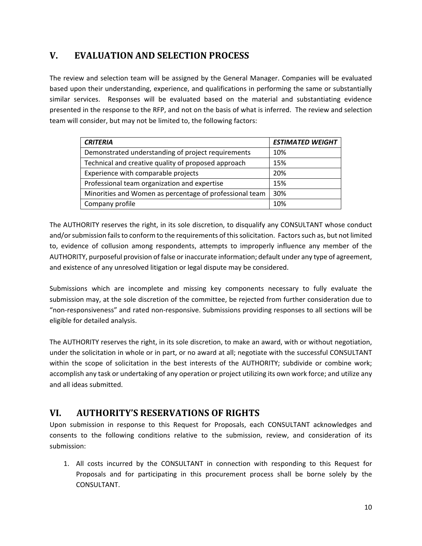# **V. EVALUATION AND SELECTION PROCESS**

The review and selection team will be assigned by the General Manager. Companies will be evaluated based upon their understanding, experience, and qualifications in performing the same or substantially similar services. Responses will be evaluated based on the material and substantiating evidence presented in the response to the RFP, and not on the basis of what is inferred. The review and selection team will consider, but may not be limited to, the following factors:

| <b>CRITERIA</b>                                         | <b>ESTIMATED WEIGHT</b> |
|---------------------------------------------------------|-------------------------|
| Demonstrated understanding of project requirements      | 10%                     |
| Technical and creative quality of proposed approach     | 15%                     |
| Experience with comparable projects                     | 20%                     |
| Professional team organization and expertise            | 15%                     |
| Minorities and Women as percentage of professional team | 30%                     |
| Company profile                                         | 10%                     |

The AUTHORITY reserves the right, in its sole discretion, to disqualify any CONSULTANT whose conduct and/or submission fails to conform to the requirements of this solicitation. Factors such as, but not limited to, evidence of collusion among respondents, attempts to improperly influence any member of the AUTHORITY, purposeful provision of false or inaccurate information; default under any type of agreement, and existence of any unresolved litigation or legal dispute may be considered.

Submissions which are incomplete and missing key components necessary to fully evaluate the submission may, at the sole discretion of the committee, be rejected from further consideration due to "non‐responsiveness" and rated non‐responsive. Submissions providing responses to all sections will be eligible for detailed analysis.

The AUTHORITY reserves the right, in its sole discretion, to make an award, with or without negotiation, under the solicitation in whole or in part, or no award at all; negotiate with the successful CONSULTANT within the scope of solicitation in the best interests of the AUTHORITY; subdivide or combine work; accomplish any task or undertaking of any operation or project utilizing its own work force; and utilize any and all ideas submitted.

# **VI. AUTHORITY'S RESERVATIONS OF RIGHTS**

Upon submission in response to this Request for Proposals, each CONSULTANT acknowledges and consents to the following conditions relative to the submission, review, and consideration of its submission:

1. All costs incurred by the CONSULTANT in connection with responding to this Request for Proposals and for participating in this procurement process shall be borne solely by the CONSULTANT.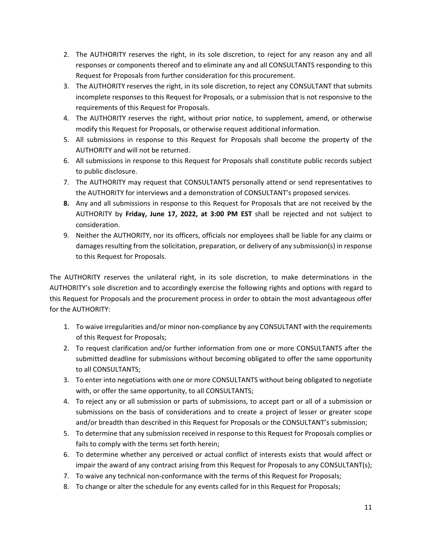- 2. The AUTHORITY reserves the right, in its sole discretion, to reject for any reason any and all responses or components thereof and to eliminate any and all CONSULTANTS responding to this Request for Proposals from further consideration for this procurement.
- 3. The AUTHORITY reserves the right, in its sole discretion, to reject any CONSULTANT that submits incomplete responses to this Request for Proposals, or a submission that is not responsive to the requirements of this Request for Proposals.
- 4. The AUTHORITY reserves the right, without prior notice, to supplement, amend, or otherwise modify this Request for Proposals, or otherwise request additional information.
- 5. All submissions in response to this Request for Proposals shall become the property of the AUTHORITY and will not be returned.
- 6. All submissions in response to this Request for Proposals shall constitute public records subject to public disclosure.
- 7. The AUTHORITY may request that CONSULTANTS personally attend or send representatives to the AUTHORITY for interviews and a demonstration of CONSULTANT's proposed services.
- **8.** Any and all submissions in response to this Request for Proposals that are not received by the AUTHORITY by **Friday, June 17, 2022, at 3:00 PM EST** shall be rejected and not subject to consideration.
- 9. Neither the AUTHORITY, nor its officers, officials nor employees shall be liable for any claims or damages resulting from the solicitation, preparation, or delivery of any submission(s) in response to this Request for Proposals.

The AUTHORITY reserves the unilateral right, in its sole discretion, to make determinations in the AUTHORITY's sole discretion and to accordingly exercise the following rights and options with regard to this Request for Proposals and the procurement process in order to obtain the most advantageous offer for the AUTHORITY:

- 1. To waive irregularities and/or minor non-compliance by any CONSULTANT with the requirements of this Request for Proposals;
- 2. To request clarification and/or further information from one or more CONSULTANTS after the submitted deadline for submissions without becoming obligated to offer the same opportunity to all CONSULTANTS;
- 3. To enter into negotiations with one or more CONSULTANTS without being obligated to negotiate with, or offer the same opportunity, to all CONSULTANTS;
- 4. To reject any or all submission or parts of submissions, to accept part or all of a submission or submissions on the basis of considerations and to create a project of lesser or greater scope and/or breadth than described in this Request for Proposals or the CONSULTANT's submission;
- 5. To determine that any submission received in response to this Request for Proposals complies or fails to comply with the terms set forth herein;
- 6. To determine whether any perceived or actual conflict of interests exists that would affect or impair the award of any contract arising from this Request for Proposals to any CONSULTANT(s);
- 7. To waive any technical non-conformance with the terms of this Request for Proposals;
- 8. To change or alter the schedule for any events called for in this Request for Proposals;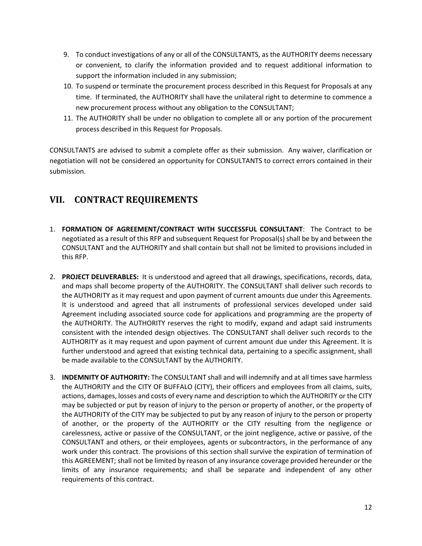- 9. To conduct investigations of any or all of the CONSULTANTS, as the AUTHORITY deems necessary or convenient, to clarify the information provided and to request additional information to support the information included in any submission;
- 10. To suspend or terminate the procurement process described in this Request for Proposals at any time. If terminated, the AUTHORITY shall have the unilateral right to determine to commence a new procurement process without any obligation to the CONSULTANT;
- 11. The AUTHORITY shall be under no obligation to complete all or any portion of the procurement process described in this Request for Proposals.

CONSULTANTS are advised to submit a complete offer as their submission. Any waiver, clarification or negotiation will not be considered an opportunity for CONSULTANTS to correct errors contained in their submission.

# **VII. CONTRACT REQUIREMENTS**

- 1. **FORMATION OF AGREEMENT/CONTRACT WITH SUCCESSFUL CONSULTANT**: The Contract to be negotiated as a result of this RFP and subsequent Request for Proposal(s) shall be by and between the CONSULTANT and the AUTHORITY and shall contain but shall not be limited to provisions included in this RFP.
- 2. **PROJECT DELIVERABLES:** It is understood and agreed that all drawings, specifications, records, data, and maps shall become property of the AUTHORITY. The CONSULTANT shall deliver such records to the AUTHORITY as it may request and upon payment of current amounts due under this Agreements. It is understood and agreed that all instruments of professional services developed under said Agreement including associated source code for applications and programming are the property of the AUTHORITY. The AUTHORITY reserves the right to modify, expand and adapt said instruments consistent with the intended design objectives. The CONSULTANT shall deliver such records to the AUTHORITY as it may request and upon payment of current amount due under this Agreement. It is further understood and agreed that existing technical data, pertaining to a specific assignment, shall be made available to the CONSULTANT by the AUTHORITY.
- 3. **INDEMNITY OF AUTHORITY:** The CONSULTANT shall and will indemnify and at all times save harmless the AUTHORITY and the CITY OF BUFFALO (CITY), their officers and employees from all claims, suits, actions, damages, losses and costs of every name and description to which the AUTHORITY or the CITY may be subjected or put by reason of injury to the person or property of another, or the property of the AUTHORITY of the CITY may be subjected to put by any reason of injury to the person or property of another, or the property of the AUTHORITY or the CITY resulting from the negligence or carelessness, active or passive of the CONSULTANT, or the joint negligence, active or passive, of the CONSULTANT and others, or their employees, agents or subcontractors, in the performance of any work under this contract. The provisions of this section shall survive the expiration of termination of this AGREEMENT; shall not be limited by reason of any insurance coverage provided hereunder or the limits of any insurance requirements; and shall be separate and independent of any other requirements of this contract.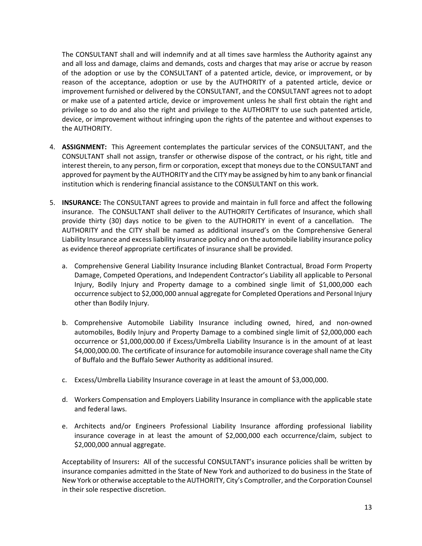The CONSULTANT shall and will indemnify and at all times save harmless the Authority against any and all loss and damage, claims and demands, costs and charges that may arise or accrue by reason of the adoption or use by the CONSULTANT of a patented article, device, or improvement, or by reason of the acceptance, adoption or use by the AUTHORITY of a patented article, device or improvement furnished or delivered by the CONSULTANT, and the CONSULTANT agrees not to adopt or make use of a patented article, device or improvement unless he shall first obtain the right and privilege so to do and also the right and privilege to the AUTHORITY to use such patented article, device, or improvement without infringing upon the rights of the patentee and without expenses to the AUTHORITY.

- 4. **ASSIGNMENT:** This Agreement contemplates the particular services of the CONSULTANT, and the CONSULTANT shall not assign, transfer or otherwise dispose of the contract, or his right, title and interest therein, to any person, firm or corporation, except that moneys due to the CONSULTANT and approved for payment by the AUTHORITY and the CITY may be assigned by him to any bank or financial institution which is rendering financial assistance to the CONSULTANT on this work.
- 5. **INSURANCE:** The CONSULTANT agrees to provide and maintain in full force and affect the following insurance. The CONSULTANT shall deliver to the AUTHORITY Certificates of Insurance, which shall provide thirty (30) days notice to be given to the AUTHORITY in event of a cancellation. The AUTHORITY and the CITY shall be named as additional insured's on the Comprehensive General Liability Insurance and excessliability insurance policy and on the automobile liability insurance policy as evidence thereof appropriate certificates of insurance shall be provided.
	- a. Comprehensive General Liability Insurance including Blanket Contractual, Broad Form Property Damage, Competed Operations, and Independent Contractor's Liability all applicable to Personal Injury, Bodily Injury and Property damage to a combined single limit of \$1,000,000 each occurrence subject to \$2,000,000 annual aggregate for Completed Operations and Personal Injury other than Bodily Injury.
	- b. Comprehensive Automobile Liability Insurance including owned, hired, and non‐owned automobiles, Bodily Injury and Property Damage to a combined single limit of \$2,000,000 each occurrence or \$1,000,000.00 if Excess/Umbrella Liability Insurance is in the amount of at least \$4,000,000.00. The certificate of insurance for automobile insurance coverage shall name the City of Buffalo and the Buffalo Sewer Authority as additional insured.
	- c. Excess/Umbrella Liability Insurance coverage in at least the amount of \$3,000,000.
	- d. Workers Compensation and Employers Liability Insurance in compliance with the applicable state and federal laws.
	- e. Architects and/or Engineers Professional Liability Insurance affording professional liability insurance coverage in at least the amount of \$2,000,000 each occurrence/claim, subject to \$2,000,000 annual aggregate.

Acceptability of Insurers**:** All of the successful CONSULTANT's insurance policies shall be written by insurance companies admitted in the State of New York and authorized to do business in the State of New York or otherwise acceptable to the AUTHORITY, City's Comptroller, and the Corporation Counsel in their sole respective discretion.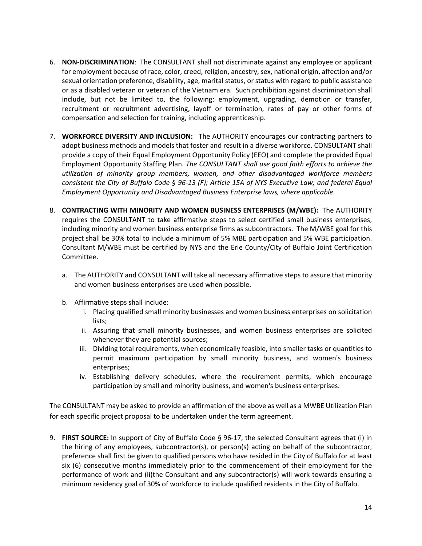- 6. **NON‐DISCRIMINATION**: The CONSULTANT shall not discriminate against any employee or applicant for employment because of race, color, creed, religion, ancestry, sex, national origin, affection and/or sexual orientation preference, disability, age, marital status, or status with regard to public assistance or as a disabled veteran or veteran of the Vietnam era. Such prohibition against discrimination shall include, but not be limited to, the following: employment, upgrading, demotion or transfer, recruitment or recruitment advertising, layoff or termination, rates of pay or other forms of compensation and selection for training, including apprenticeship.
- 7. **WORKFORCE DIVERSITY AND INCLUSION:** The AUTHORITY encourages our contracting partners to adopt business methods and models that foster and result in a diverse workforce. CONSULTANT shall provide a copy of their Equal Employment Opportunity Policy (EEO) and complete the provided Equal Employment Opportunity Staffing Plan. *The CONSULTANT shall use good faith efforts to achieve the utilization of minority group members, women, and other disadvantaged workforce members* consistent the City of Buffalo Code § 96-13 (F); Article 15A of NYS Executive Law; and federal Equal *Employment Opportunity and Disadvantaged Business Enterprise laws, where applicable.*
- 8. **CONTRACTING WITH MINORITY AND WOMEN BUSINESS ENTERPRISES (M/WBE):** The AUTHORITY requires the CONSULTANT to take affirmative steps to select certified small business enterprises, including minority and women business enterprise firms as subcontractors. The M/WBE goal for this project shall be 30% total to include a minimum of 5% MBE participation and 5% WBE participation. Consultant M/WBE must be certified by NYS and the Erie County/City of Buffalo Joint Certification Committee.
	- a. The AUTHORITY and CONSULTANT will take all necessary affirmative steps to assure that minority and women business enterprises are used when possible.
	- b. Affirmative steps shall include:
		- i. Placing qualified small minority businesses and women business enterprises on solicitation lists;
		- ii. Assuring that small minority businesses, and women business enterprises are solicited whenever they are potential sources;
		- iii. Dividing total requirements, when economically feasible, into smaller tasks or quantities to permit maximum participation by small minority business, and women's business enterprises;
		- iv. Establishing delivery schedules, where the requirement permits, which encourage participation by small and minority business, and women's business enterprises.

The CONSULTANT may be asked to provide an affirmation of the above as well as a MWBE Utilization Plan for each specific project proposal to be undertaken under the term agreement.

9. **FIRST SOURCE:** In support of City of Buffalo Code § 96‐17, the selected Consultant agrees that (i) in the hiring of any employees, subcontractor(s), or person(s) acting on behalf of the subcontractor, preference shall first be given to qualified persons who have resided in the City of Buffalo for at least six (6) consecutive months immediately prior to the commencement of their employment for the performance of work and (ii)the Consultant and any subcontractor(s) will work towards ensuring a minimum residency goal of 30% of workforce to include qualified residents in the City of Buffalo.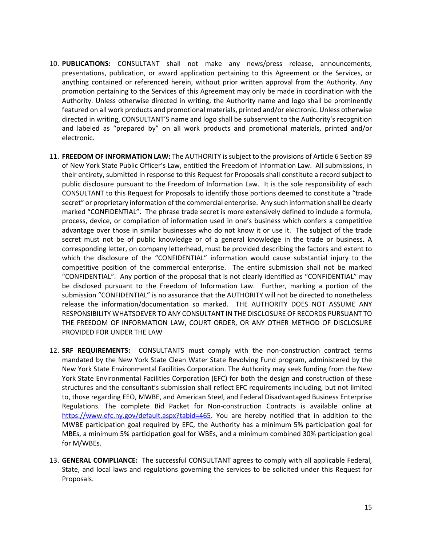- 10. **PUBLICATIONS:** CONSULTANT shall not make any news/press release, announcements, presentations, publication, or award application pertaining to this Agreement or the Services, or anything contained or referenced herein, without prior written approval from the Authority. Any promotion pertaining to the Services of this Agreement may only be made in coordination with the Authority. Unless otherwise directed in writing, the Authority name and logo shall be prominently featured on all work products and promotional materials, printed and/or electronic. Unless otherwise directed in writing, CONSULTANT'S name and logo shall be subservient to the Authority's recognition and labeled as "prepared by" on all work products and promotional materials, printed and/or electronic.
- 11. **FREEDOM OF INFORMATION LAW:** The AUTHORITY is subject to the provisions of Article 6 Section 89 of New York State Public Officer's Law, entitled the Freedom of Information Law. All submissions, in their entirety, submitted in response to this Request for Proposals shall constitute a record subject to public disclosure pursuant to the Freedom of Information Law. It is the sole responsibility of each CONSULTANT to this Request for Proposals to identify those portions deemed to constitute a "trade secret" or proprietary information of the commercial enterprise. Any such information shall be clearly marked "CONFIDENTIAL". The phrase trade secret is more extensively defined to include a formula, process, device, or compilation of information used in one's business which confers a competitive advantage over those in similar businesses who do not know it or use it. The subject of the trade secret must not be of public knowledge or of a general knowledge in the trade or business. A corresponding letter, on company letterhead, must be provided describing the factors and extent to which the disclosure of the "CONFIDENTIAL" information would cause substantial injury to the competitive position of the commercial enterprise. The entire submission shall not be marked "CONFIDENTIAL". Any portion of the proposal that is not clearly identified as "CONFIDENTIAL" may be disclosed pursuant to the Freedom of Information Law. Further, marking a portion of the submission "CONFIDENTIAL" is no assurance that the AUTHORITY will not be directed to nonetheless release the information/documentation so marked. THE AUTHORITY DOES NOT ASSUME ANY RESPONSIBILITY WHATSOEVER TO ANY CONSULTANT IN THE DISCLOSURE OF RECORDS PURSUANT TO THE FREEDOM OF INFORMATION LAW, COURT ORDER, OR ANY OTHER METHOD OF DISCLOSURE PROVIDED FOR UNDER THE LAW
- 12. **SRF REQUIREMENTS:** CONSULTANTS must comply with the non‐construction contract terms mandated by the New York State Clean Water State Revolving Fund program, administered by the New York State Environmental Facilities Corporation. The Authority may seek funding from the New York State Environmental Facilities Corporation (EFC) for both the design and construction of these structures and the consultant's submission shall reflect EFC requirements including, but not limited to, those regarding EEO, MWBE, and American Steel, and Federal Disadvantaged Business Enterprise Regulations. The complete Bid Packet for Non‐construction Contracts is available online at https://www.efc.ny.gov/default.aspx?tabid=465. You are hereby notified that in addition to the MWBE participation goal required by EFC, the Authority has a minimum 5% participation goal for MBEs, a minimum 5% participation goal for WBEs, and a minimum combined 30% participation goal for M/WBEs.
- 13. **GENERAL COMPLIANCE:** The successful CONSULTANT agrees to comply with all applicable Federal, State, and local laws and regulations governing the services to be solicited under this Request for Proposals.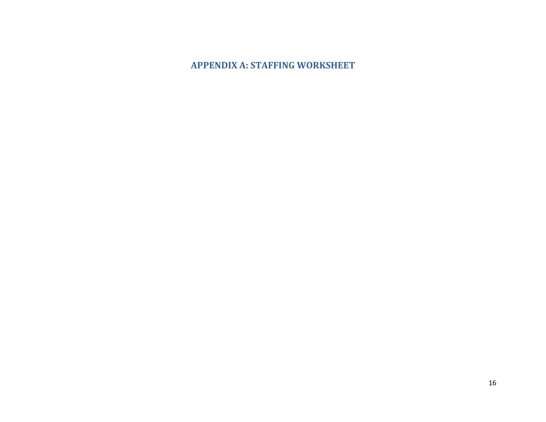#### **APPENDIX A: STAFFING WORKSHEET**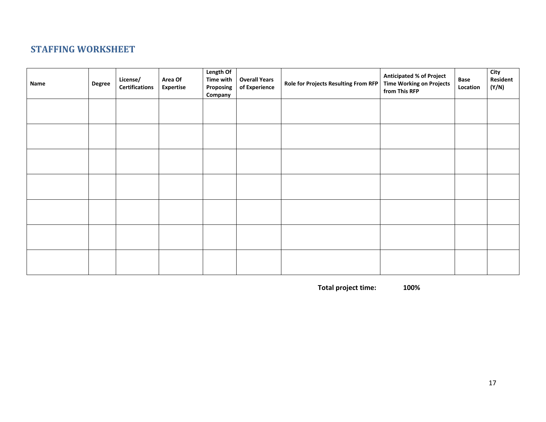### **STAFFING WORKSHEET**

| Name | <b>Degree</b> | License/<br><b>Certifications</b> | Area Of<br><b>Expertise</b> | Length Of<br><b>Time with</b><br>Proposing<br>Company | <b>Overall Years</b><br>of Experience | Role for Projects Resulting From RFP | <b>Anticipated % of Project</b><br><b>Time Working on Projects</b><br>from This RFP | Base<br>Location | City<br>Resident<br>(Y/N) |
|------|---------------|-----------------------------------|-----------------------------|-------------------------------------------------------|---------------------------------------|--------------------------------------|-------------------------------------------------------------------------------------|------------------|---------------------------|
|      |               |                                   |                             |                                                       |                                       |                                      |                                                                                     |                  |                           |
|      |               |                                   |                             |                                                       |                                       |                                      |                                                                                     |                  |                           |
|      |               |                                   |                             |                                                       |                                       |                                      |                                                                                     |                  |                           |
|      |               |                                   |                             |                                                       |                                       |                                      |                                                                                     |                  |                           |
|      |               |                                   |                             |                                                       |                                       |                                      |                                                                                     |                  |                           |
|      |               |                                   |                             |                                                       |                                       |                                      |                                                                                     |                  |                           |
|      |               |                                   |                             |                                                       |                                       |                                      |                                                                                     |                  |                           |

**Total project time: 100%**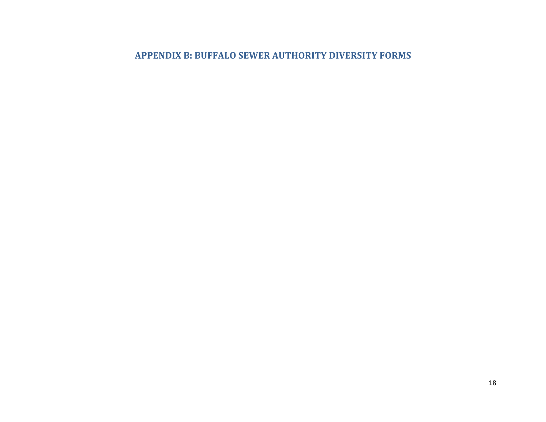#### **APPENDIX B: BUFFALO SEWER AUTHORITY DIVERSITY FORMS**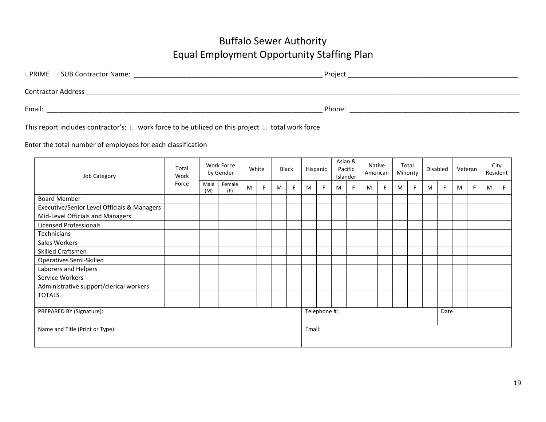# Buffalo Sewer Authority Equal Employment Opportunity Staffing Plan

| $\Box$ PRIME $\Box$ SUB Contractor Name: | Project |
|------------------------------------------|---------|
| <b>Contractor Address</b>                |         |
| Email:                                   | Phone:  |

This report includes contractor's:  $\Box$  work force to be utilized on this project  $\Box$  total work force

#### Enter the total number of employees for each classification

| <b>Job Category</b>                         | Total<br>Work<br>Force | Work Force<br>by Gender |               | White |    | <b>Black</b> |                      | Hispanic |    | Asian &<br>Pacific<br>Islander |    | Native<br>American |    | Total<br>Minority |   | Disabled |    | Veteran |    | City<br>Resident |  |
|---------------------------------------------|------------------------|-------------------------|---------------|-------|----|--------------|----------------------|----------|----|--------------------------------|----|--------------------|----|-------------------|---|----------|----|---------|----|------------------|--|
|                                             |                        | Male<br>(M)             | Female<br>(F) | M     | F. | M            | F                    | M        | F. | M                              | F. | M                  | F. | M                 | F | M        | F. | M       | F. | M                |  |
| <b>Board Member</b>                         |                        |                         |               |       |    |              |                      |          |    |                                |    |                    |    |                   |   |          |    |         |    |                  |  |
| Executive/Senior Level Officials & Managers |                        |                         |               |       |    |              |                      |          |    |                                |    |                    |    |                   |   |          |    |         |    |                  |  |
| Mid-Level Officials and Managers            |                        |                         |               |       |    |              |                      |          |    |                                |    |                    |    |                   |   |          |    |         |    |                  |  |
| <b>Licensed Professionals</b>               |                        |                         |               |       |    |              |                      |          |    |                                |    |                    |    |                   |   |          |    |         |    |                  |  |
| <b>Technicians</b>                          |                        |                         |               |       |    |              |                      |          |    |                                |    |                    |    |                   |   |          |    |         |    |                  |  |
| Sales Workers                               |                        |                         |               |       |    |              |                      |          |    |                                |    |                    |    |                   |   |          |    |         |    |                  |  |
| Skilled Craftsmen                           |                        |                         |               |       |    |              |                      |          |    |                                |    |                    |    |                   |   |          |    |         |    |                  |  |
| <b>Operatives Semi-Skilled</b>              |                        |                         |               |       |    |              |                      |          |    |                                |    |                    |    |                   |   |          |    |         |    |                  |  |
| Laborers and Helpers                        |                        |                         |               |       |    |              |                      |          |    |                                |    |                    |    |                   |   |          |    |         |    |                  |  |
| Service Workers                             |                        |                         |               |       |    |              |                      |          |    |                                |    |                    |    |                   |   |          |    |         |    |                  |  |
| Administrative support/clerical workers     |                        |                         |               |       |    |              |                      |          |    |                                |    |                    |    |                   |   |          |    |         |    |                  |  |
| <b>TOTALS</b>                               |                        |                         |               |       |    |              |                      |          |    |                                |    |                    |    |                   |   |          |    |         |    |                  |  |
| PREPARED BY (Signature):                    |                        |                         |               |       |    |              | Telephone #:<br>Date |          |    |                                |    |                    |    |                   |   |          |    |         |    |                  |  |
| Name and Title (Print or Type):             |                        |                         |               |       |    | Email:       |                      |          |    |                                |    |                    |    |                   |   |          |    |         |    |                  |  |